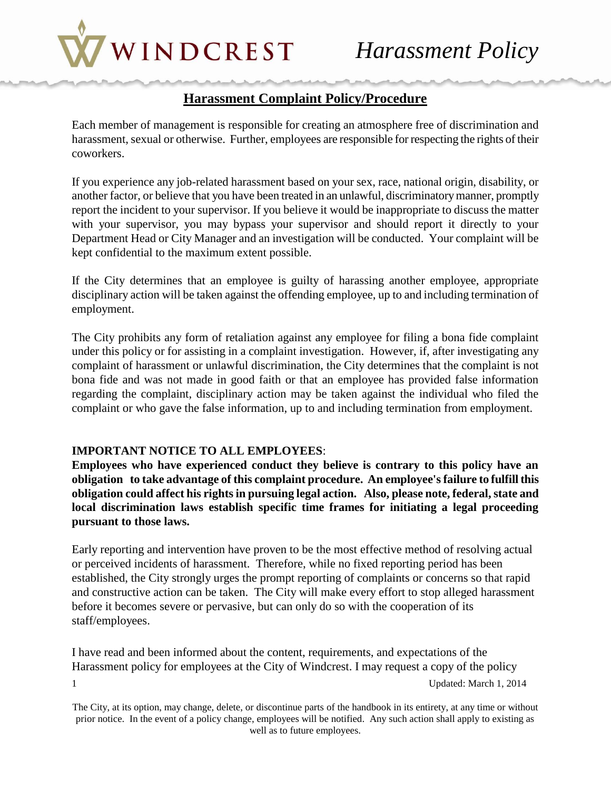## WINDCREST

## **Harassment Complaint Policy/Procedure**

Each member of management is responsible for creating an atmosphere free of discrimination and harassment, sexual or otherwise. Further, employees are responsible for respecting the rights of their coworkers.

If you experience any job-related harassment based on your sex, race, national origin, disability, or another factor, or believe that you have been treated in an unlawful, discriminatory manner, promptly report the incident to your supervisor. If you believe it would be inappropriate to discuss the matter with your supervisor, you may bypass your supervisor and should report it directly to your Department Head or City Manager and an investigation will be conducted. Your complaint will be kept confidential to the maximum extent possible.

If the City determines that an employee is guilty of harassing another employee, appropriate disciplinary action will be taken against the offending employee, up to and including termination of employment.

The City prohibits any form of retaliation against any employee for filing a bona fide complaint under this policy or for assisting in a complaint investigation. However, if, after investigating any complaint of harassment or unlawful discrimination, the City determines that the complaint is not bona fide and was not made in good faith or that an employee has provided false information regarding the complaint, disciplinary action may be taken against the individual who filed the complaint or who gave the false information, up to and including termination from employment.

## **IMPORTANT NOTICE TO ALL EMPLOYEES**:

**Employees who have experienced conduct they believe is contrary to this policy have an obligation to take advantage of this complaint procedure. An employee's failure to fulfill this obligation could affect his rights in pursuing legal action. Also, please note, federal, state and local discrimination laws establish specific time frames for initiating a legal proceeding pursuant to those laws.** 

Early reporting and intervention have proven to be the most effective method of resolving actual or perceived incidents of harassment. Therefore, while no fixed reporting period has been established, the City strongly urges the prompt reporting of complaints or concerns so that rapid and constructive action can be taken. The City will make every effort to stop alleged harassment before it becomes severe or pervasive, but can only do so with the cooperation of its staff/employees.

1 Updated: March 1, 2014 I have read and been informed about the content, requirements, and expectations of the Harassment policy for employees at the City of Windcrest. I may request a copy of the policy

The City, at its option, may change, delete, or discontinue parts of the handbook in its entirety, at any time or without prior notice. In the event of a policy change, employees will be notified. Any such action shall apply to existing as well as to future employees.